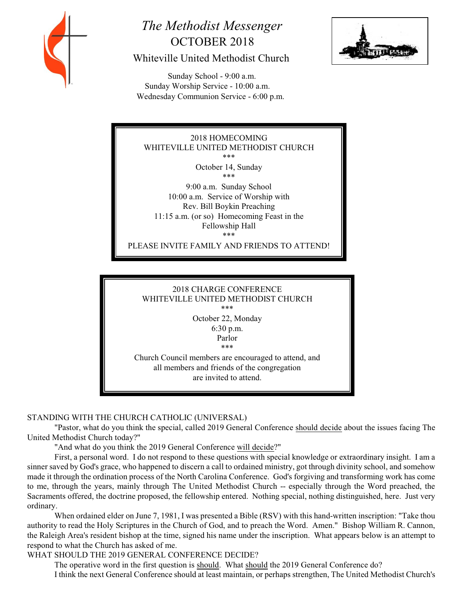

# *The Methodist Messenger* OCTOBER 2018 Whiteville United Methodist Church

TT pag

 Sunday School - 9:00 a.m. Sunday Worship Service - 10:00 a.m. Wednesday Communion Service - 6:00 p.m.

## 2018 HOMECOMING WHITEVILLE UNITED METHODIST CHURCH \*\*\*

October 14, Sunday \*\*\*

9:00 a.m. Sunday School 10:00 a.m. Service of Worship with Rev. Bill Boykin Preaching 11:15 a.m. (or so) Homecoming Feast in the Fellowship Hall \*\*\*

PLEASE INVITE FAMILY AND FRIENDS TO ATTEND!

# 2018 CHARGE CONFERENCE WHITEVILLE UNITED METHODIST CHURCH \*\*\*

October 22, Monday 6:30 p.m. Parlor \*\*\*

Church Council members are encouraged to attend, and all members and friends of the congregation are invited to attend.

## STANDING WITH THE CHURCH CATHOLIC (UNIVERSAL)

"Pastor, what do you think the special, called 2019 General Conference should decide about the issues facing The United Methodist Church today?"

"And what do you think the 2019 General Conference will decide?"

First, a personal word. I do not respond to these questions with special knowledge or extraordinary insight. I am a sinner saved by God's grace, who happened to discern a call to ordained ministry, got through divinity school, and somehow made it through the ordination process of the North Carolina Conference. God's forgiving and transforming work has come to me, through the years, mainly through The United Methodist Church -- especially through the Word preached, the Sacraments offered, the doctrine proposed, the fellowship entered. Nothing special, nothing distinguished, here. Just very ordinary.

When ordained elder on June 7, 1981, I was presented a Bible (RSV) with this hand-written inscription: "Take thou authority to read the Holy Scriptures in the Church of God, and to preach the Word. Amen." Bishop William R. Cannon, the Raleigh Area's resident bishop at the time, signed his name under the inscription. What appears below is an attempt to respond to what the Church has asked of me.

# WHAT SHOULD THE 2019 GENERAL CONFERENCE DECIDE?

The operative word in the first question is should. What should the 2019 General Conference do? I think the next General Conference should at least maintain, or perhaps strengthen, The United Methodist Church's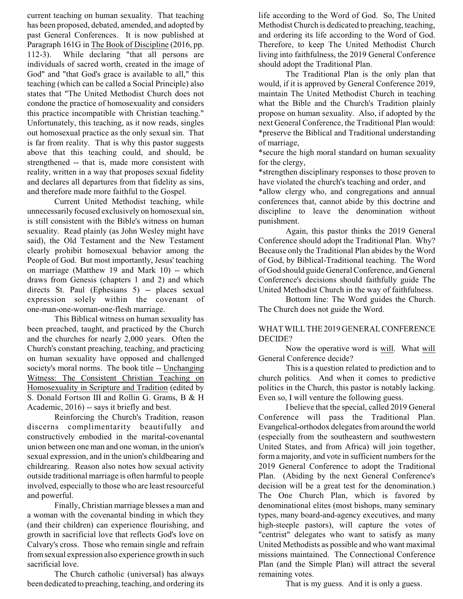current teaching on human sexuality. That teaching has been proposed, debated, amended, and adopted by past General Conferences. It is now published at Paragraph 161G in The Book of Discipline (2016, pp. 112-3). While declaring "that all persons are individuals of sacred worth, created in the image of God" and "that God's grace is available to all," this teaching (which can be called a Social Principle) also states that "The United Methodist Church does not condone the practice of homosexuality and considers this practice incompatible with Christian teaching." Unfortunately, this teaching, as it now reads, singles out homosexual practice as the only sexual sin. That is far from reality. That is why this pastor suggests above that this teaching could, and should, be strengthened -- that is, made more consistent with reality, written in a way that proposes sexual fidelity and declares all departures from that fidelity as sins, and therefore made more faithful to the Gospel.

Current United Methodist teaching, while unnecessarily focused exclusively on homosexualsin, is still consistent with the Bible's witness on human sexuality. Read plainly (as John Wesley might have said), the Old Testament and the New Testament clearly prohibit homosexual behavior among the People of God. But most importantly, Jesus' teaching on marriage (Matthew 19 and Mark 10) -- which draws from Genesis (chapters 1 and 2) and which directs St. Paul (Ephesians 5) -- places sexual expression solely within the covenant of one-man-one-woman-one-flesh marriage.

This Biblical witness on human sexuality has been preached, taught, and practiced by the Church and the churches for nearly 2,000 years. Often the Church's constant preaching, teaching, and practicing on human sexuality have opposed and challenged society's moral norms. The book title -- Unchanging Witness: The Consistent Christian Teaching on Homosexuality in Scripture and Tradition (edited by S. Donald Fortson III and Rollin G. Grams, B & H Academic, 2016) -- says it briefly and best.

Reinforcing the Church's Tradition, reason discerns complimentarity beautifully and constructively embodied in the marital-covenantal union between one man and one woman, in the union's sexual expression, and in the union's childbearing and childrearing. Reason also notes how sexual activity outside traditional marriage is often harmful to people involved, especially to those who are least resourceful and powerful.

Finally, Christian marriage blesses a man and a woman with the covenantal binding in which they (and their children) can experience flourishing, and growth in sacrificial love that reflects God's love on Calvary's cross. Those who remain single and refrain fromsexual expression also experience growth in such sacrificial love.

The Church catholic (universal) has always been dedicated to preaching, teaching, and ordering its

life according to the Word of God. So, The United Methodist Church is dedicated to preaching, teaching, and ordering its life according to the Word of God. Therefore, to keep The United Methodist Church living into faithfulness, the 2019 General Conference should adopt the Traditional Plan.

The Traditional Plan is the only plan that would, if it is approved by General Conference 2019, maintain The United Methodist Church in teaching what the Bible and the Church's Tradition plainly propose on human sexuality. Also, if adopted by the next General Conference, the Traditional Plan would: \*preserve the Biblical and Traditional understanding of marriage,

\*secure the high moral standard on human sexuality for the clergy,

\*strengthen disciplinary responses to those proven to have violated the church's teaching and order, and

\*allow clergy who, and congregations and annual conferences that, cannot abide by this doctrine and discipline to leave the denomination without punishment.

Again, this pastor thinks the 2019 General Conference should adopt the Traditional Plan. Why? Because only the Traditional Plan abides by the Word of God, by Biblical-Traditional teaching. The Word of God should guide General Conference, and General Conference's decisions should faithfully guide The United Methodist Church in the way of faithfulness.

Bottom line: The Word guides the Church. The Church does not guide the Word.

## WHATWILL THE 2019 GENERAL CONFERENCE DECIDE?

Now the operative word is will. What will General Conference decide?

This is a question related to prediction and to church politics. And when it comes to predictive politics in the Church, this pastor is notably lacking. Even so, I will venture the following guess.

I believe that the special, called 2019 General Conference will pass the Traditional Plan. Evangelical-orthodox delegates fromaround the world (especially from the southeastern and southwestern United States, and from Africa) will join together, form a majority, and vote in sufficient numbers for the 2019 General Conference to adopt the Traditional Plan. (Abiding by the next General Conference's decision will be a great test for the denomination.) The One Church Plan, which is favored by denominational elites (most bishops, many seminary types, many board-and-agency executives, and many high-steeple pastors), will capture the votes of "centrist" delegates who want to satisfy as many United Methodists as possible and who want maximal missions maintained. The Connectional Conference Plan (and the Simple Plan) will attract the several remaining votes.

That is my guess. And it is only a guess.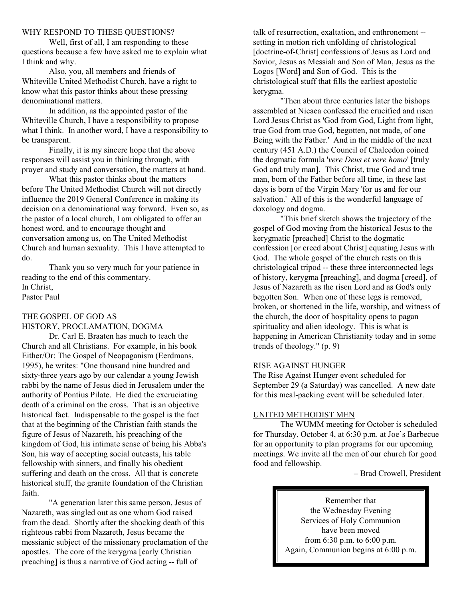#### WHY RESPOND TO THESE QUESTIONS?

Well, first of all, I am responding to these questions because a few have asked me to explain what I think and why.

Also, you, all members and friends of Whiteville United Methodist Church, have a right to know what this pastor thinks about these pressing denominational matters.

In addition, as the appointed pastor of the Whiteville Church, I have a responsibility to propose what I think. In another word, I have a responsibility to be transparent.

Finally, it is my sincere hope that the above responses will assist you in thinking through, with prayer and study and conversation, the matters at hand.

What this pastor thinks about the matters before The United Methodist Church will not directly influence the 2019 General Conference in making its decision on a denominational way forward. Even so, as the pastor of a local church, I am obligated to offer an honest word, and to encourage thought and conversation among us, on The United Methodist Church and human sexuality. This I have attempted to do.

Thank you so very much for your patience in reading to the end of this commentary. In Christ, Pastor Paul

## THE GOSPEL OF GOD AS HISTORY, PROCLAMATION, DOGMA

Dr. Carl E. Braaten has much to teach the Church and all Christians. For example, in his book Either/Or: The Gospel of Neopaganism (Eerdmans, 1995), he writes: "One thousand nine hundred and sixty-three years ago by our calendar a young Jewish rabbi by the name of Jesus died in Jerusalem under the authority of Pontius Pilate. He died the excruciating death of a criminal on the cross. That is an objective historical fact. Indispensable to the gospel is the fact that at the beginning of the Christian faith stands the figure of Jesus of Nazareth, his preaching of the kingdom of God, his intimate sense of being his Abba's Son, his way of accepting social outcasts, his table fellowship with sinners, and finally his obedient suffering and death on the cross. All that is concrete historical stuff, the granite foundation of the Christian faith.

"A generation later this same person, Jesus of Nazareth, was singled out as one whom God raised from the dead. Shortly after the shocking death of this righteous rabbi from Nazareth, Jesus became the messianic subject of the missionary proclamation of the apostles. The core of the kerygma [early Christian preaching] is thus a narrative of God acting -- full of

talk of resurrection, exaltation, and enthronement - setting in motion rich unfolding of christological [doctrine-of-Christ] confessions of Jesus as Lord and Savior, Jesus as Messiah and Son of Man, Jesus as the Logos [Word] and Son of God. This is the christological stuff that fills the earliest apostolic kerygma.

"Then about three centuries later the bishops assembled at Nicaea confessed the crucified and risen Lord Jesus Christ as 'God from God, Light from light, true God from true God, begotten, not made, of one Being with the Father.' And in the middle of the next century (451 A.D.) the Council of Chalcedon coined the dogmatic formula '*vere Deus et vere homo*' [truly God and truly man]. This Christ, true God and true man, born of the Father before all time, in these last days is born of the Virgin Mary 'for us and for our salvation.' All of this is the wonderful language of doxology and dogma.

"This brief sketch shows the trajectory of the gospel of God moving from the historical Jesus to the kerygmatic [preached] Christ to the dogmatic confession [or creed about Christ] equating Jesus with God. The whole gospel of the church rests on this christological tripod -- these three interconnected legs of history, kerygma [preaching], and dogma [creed], of Jesus of Nazareth as the risen Lord and as God's only begotten Son. When one of these legs is removed, broken, or shortened in the life, worship, and witness of the church, the door of hospitality opens to pagan spirituality and alien ideology. This is what is happening in American Christianity today and in some trends of theology." (p. 9)

## RISE AGAINST HUNGER

The Rise Against Hunger event scheduled for September 29 (a Saturday) was cancelled. A new date for this meal-packing event will be scheduled later.

## UNITED METHODIST MEN

The WUMM meeting for October is scheduled for Thursday, October 4, at 6:30 p.m. at Joe's Barbecue for an opportunity to plan programs for our upcoming meetings. We invite all the men of our church for good food and fellowship.

## – Brad Crowell, President

Remember that the Wednesday Evening Services of Holy Communion have been moved from 6:30 p.m. to 6:00 p.m. Again, Communion begins at 6:00 p.m.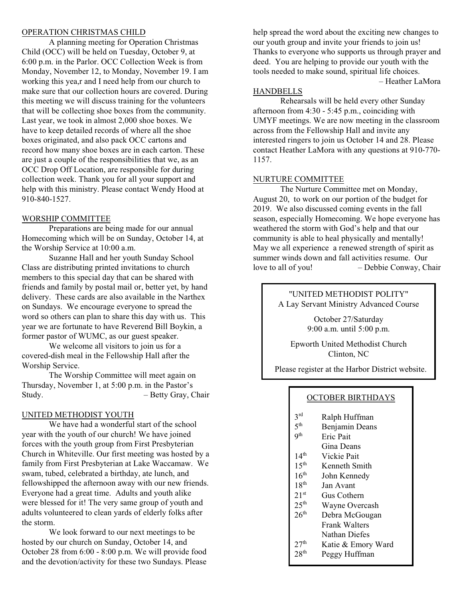#### OPERATION CHRISTMAS CHILD

A planning meeting for Operation Christmas Child (OCC) will be held on Tuesday, October 9, at 6:00 p.m. in the Parlor. OCC Collection Week is from Monday, November 12, to Monday, November 19. I am working this yea,r and I need help from our church to make sure that our collection hours are covered. During this meeting we will discuss training for the volunteers that will be collecting shoe boxes from the community. Last year, we took in almost 2,000 shoe boxes. We have to keep detailed records of where all the shoe boxes originated, and also pack OCC cartons and record how many shoe boxes are in each carton. These are just a couple of the responsibilities that we, as an OCC Drop Off Location, are responsible for during collection week. Thank you for all your support and help with this ministry. Please contact Wendy Hood at 910-840-1527.

## WORSHIP COMMITTEE

Preparations are being made for our annual Homecoming which will be on Sunday, October 14, at the Worship Service at 10:00 a.m.

Suzanne Hall and her youth Sunday School Class are distributing printed invitations to church members to this special day that can be shared with friends and family by postal mail or, better yet, by hand delivery. These cards are also available in the Narthex on Sundays. We encourage everyone to spread the word so others can plan to share this day with us. This year we are fortunate to have Reverend Bill Boykin, a former pastor of WUMC, as our guest speaker.

We welcome all visitors to join us for a covered-dish meal in the Fellowship Hall after the Worship Service.

The Worship Committee will meet again on Thursday, November 1, at 5:00 p.m. in the Pastor's Study. – Betty Gray, Chair

## UNITED METHODIST YOUTH

We have had a wonderful start of the school year with the youth of our church! We have joined forces with the youth group from First Presbyterian Church in Whiteville. Our first meeting was hosted by a family from First Presbyterian at Lake Waccamaw. We swam, tubed, celebrated a birthday, ate lunch, and fellowshipped the afternoon away with our new friends. Everyone had a great time. Adults and youth alike were blessed for it! The very same group of youth and adults volunteered to clean yards of elderly folks after the storm.

We look forward to our next meetings to be hosted by our church on Sunday, October 14, and October 28 from 6:00 - 8:00 p.m. We will provide food and the devotion/activity for these two Sundays. Please

help spread the word about the exciting new changes to our youth group and invite your friends to join us! Thanks to everyone who supports us through prayer and deed. You are helping to provide our youth with the tools needed to make sound, spiritual life choices. – Heather LaMora

#### **HANDBELLS**

Rehearsals will be held every other Sunday afternoon from 4:30 - 5:45 p.m., coinciding with UMYF meetings. We are now meeting in the classroom across from the Fellowship Hall and invite any interested ringers to join us October 14 and 28. Please contact Heather LaMora with any questions at 910-770- 1157.

## NURTURE COMMITTEE

The Nurture Committee met on Monday, August 20, to work on our portion of the budget for 2019. We also discussed coming events in the fall season, especially Homecoming. We hope everyone has weathered the storm with God's help and that our community is able to heal physically and mentally! May we all experience a renewed strength of spirit as summer winds down and fall activities resume. Our love to all of you! – Debbie Conway, Chair

> "UNITED METHODIST POLITY" A Lay Servant Ministry Advanced Course

> > October 27/Saturday 9:00 a.m. until 5:00 p.m.

Epworth United Methodist Church Clinton, NC

Please register at the Harbor District website.

# OCTOBER BIRTHDAYS

- $3<sup>rd</sup>$  Ralph Huffman
- $5<sup>th</sup>$  Benjamin Deans<br>  $9<sup>th</sup>$  Fric Pait  $5<sup>th</sup>$ 
	- Eric Pait
	- Gina Deans
- Vickie Pait  $14<sup>th</sup>$
- $15<sup>th</sup>$  Kenneth Smith
- $16<sup>th</sup>$  John Kennedy<br> $18<sup>th</sup>$  Jan Avant
- $18^{th}$  Jan Avant<br>  $21^{st}$  Gus Cother
- $21<sup>st</sup>$  Gus Cothern<br>  $25<sup>th</sup>$  Wayne Overc
- $25<sup>th</sup>$  Wayne Overcash<br> $26<sup>th</sup>$  Debra McGougan
- Debra McGougan Frank Walters Nathan Diefes
- 27<sup>th</sup> Katie & Emory Ward<br>28<sup>th</sup> Peggy Huffman
	- Peggy Huffman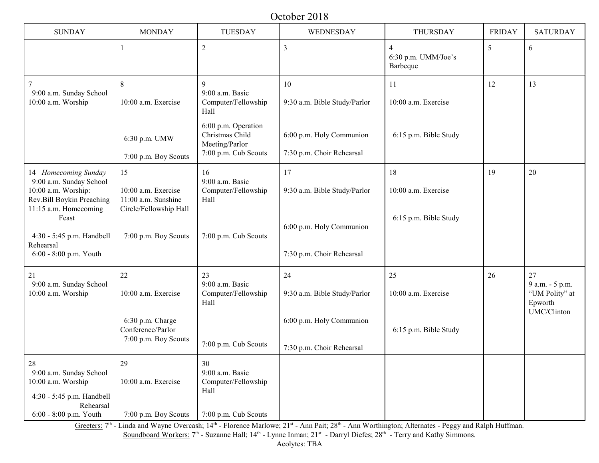October 2018

| <b>SUNDAY</b>                                                                                                                         | <b>MONDAY</b>                                                                              | <b>TUESDAY</b>                                                                                                  | WEDNESDAY                                                      | <b>THURSDAY</b>                                    | <b>FRIDAY</b> | <b>SATURDAY</b>                                                   |
|---------------------------------------------------------------------------------------------------------------------------------------|--------------------------------------------------------------------------------------------|-----------------------------------------------------------------------------------------------------------------|----------------------------------------------------------------|----------------------------------------------------|---------------|-------------------------------------------------------------------|
|                                                                                                                                       |                                                                                            | $\overline{c}$                                                                                                  | $\mathfrak{Z}$                                                 | $\overline{4}$<br>6:30 p.m. UMM/Joe's<br>Barbeque  | 5             | 6                                                                 |
| 9:00 a.m. Sunday School<br>10:00 a.m. Worship                                                                                         | 8<br>10:00 a.m. Exercise<br>6:30 p.m. UMW                                                  | 9<br>9:00 a.m. Basic<br>Computer/Fellowship<br>Hall<br>6:00 p.m. Operation<br>Christmas Child<br>Meeting/Parlor | 10<br>9:30 a.m. Bible Study/Parlor<br>6:00 p.m. Holy Communion | 11<br>10:00 a.m. Exercise<br>6:15 p.m. Bible Study | 12            | 13                                                                |
|                                                                                                                                       | 7:00 p.m. Boy Scouts                                                                       | 7:00 p.m. Cub Scouts                                                                                            | 7:30 p.m. Choir Rehearsal                                      |                                                    |               |                                                                   |
| 14 Homecoming Sunday<br>9:00 a.m. Sunday School<br>10:00 a.m. Worship:<br>Rev.Bill Boykin Preaching<br>11:15 a.m. Homecoming<br>Feast | 15<br>10:00 a.m. Exercise<br>11:00 a.m. Sunshine<br>Circle/Fellowship Hall                 | 16<br>9:00 a.m. Basic<br>Computer/Fellowship<br>Hall                                                            | 17<br>9:30 a.m. Bible Study/Parlor                             | 18<br>10:00 a.m. Exercise<br>6:15 p.m. Bible Study | 19            | 20                                                                |
| 4:30 - 5:45 p.m. Handbell<br>Rehearsal<br>6:00 - 8:00 p.m. Youth                                                                      | 7:00 p.m. Boy Scouts                                                                       | 7:00 p.m. Cub Scouts                                                                                            | 6:00 p.m. Holy Communion<br>7:30 p.m. Choir Rehearsal          |                                                    |               |                                                                   |
| 21<br>9:00 a.m. Sunday School<br>10:00 a.m. Worship                                                                                   | 22<br>10:00 a.m. Exercise<br>6:30 p.m. Charge<br>Conference/Parlor<br>7:00 p.m. Boy Scouts | 23<br>9:00 a.m. Basic<br>Computer/Fellowship<br>Hall<br>7:00 p.m. Cub Scouts                                    | 24<br>9:30 a.m. Bible Study/Parlor<br>6:00 p.m. Holy Communion | 25<br>10:00 a.m. Exercise<br>6:15 p.m. Bible Study | 26            | 27<br>9 a.m. - 5 p.m.<br>"UM Polity" at<br>Epworth<br>UMC/Clinton |
| 28<br>9:00 a.m. Sunday School<br>10:00 a.m. Worship<br>4:30 - 5:45 p.m. Handbell<br>Rehearsal<br>6:00 - 8:00 p.m. Youth               | 29<br>10:00 a.m. Exercise<br>7:00 p.m. Boy Scouts                                          | 30<br>9:00 a.m. Basic<br>Computer/Fellowship<br>Hall<br>7:00 p.m. Cub Scouts                                    | 7:30 p.m. Choir Rehearsal                                      |                                                    |               |                                                                   |

Greeters: 7<sup>th</sup> - Linda and Wayne Overcash; 14<sup>th</sup> - Florence Marlowe; 21<sup>st</sup> - Ann Pait; 28<sup>th</sup> - Ann Worthington; Alternates - Peggy and Ralph Huffman. Soundboard Workers: 7<sup>th</sup> - Suzanne Hall; 14<sup>th</sup> - Lynne Inman; 21<sup>st</sup> - Darryl Diefes; 28<sup>th</sup> - Terry and Kathy Simmons.

Acolytes: TBA